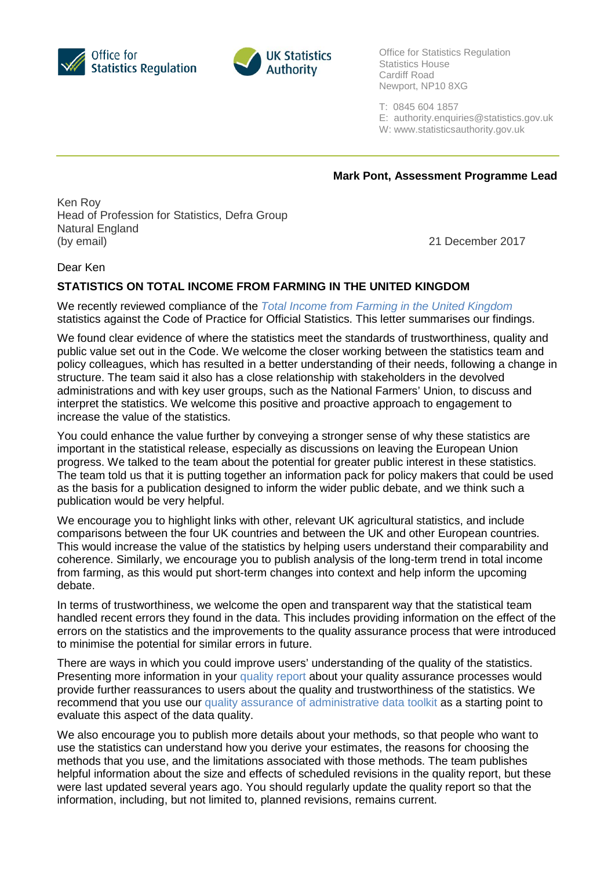



Office for Statistics Regulation Statistics House Cardiff Road Newport, NP10 8XG

T: 0845 604 1857

E: [authority.enquiries@statistics.gov.uk](mailto:authority.enquiries@statistics.gov.uk)

W: www.statisticsauthority.gov.uk

**Mark Pont, Assessment Programme Lead**

Ken Roy Head of Profession for Statistics, Defra Group Natural England (by email) 21 December 2017

Dear Ken

## **STATISTICS ON TOTAL INCOME FROM FARMING IN THE UNITED KINGDOM**

We recently reviewed compliance of the *[Total Income from Farming in the United Kingdom](https://www.gov.uk/government/statistics/total-income-from-farming-in-the-uk)* statistics against the Code of Practice for Official Statistics. This letter summarises our findings.

We found clear evidence of where the statistics meet the standards of trustworthiness, quality and public value set out in the Code. We welcome the closer working between the statistics team and policy colleagues, which has resulted in a better understanding of their needs, following a change in structure. The team said it also has a close relationship with stakeholders in the devolved administrations and with key user groups, such as the National Farmers' Union, to discuss and interpret the statistics. We welcome this positive and proactive approach to engagement to increase the value of the statistics.

You could enhance the value further by conveying a stronger sense of why these statistics are important in the statistical release, especially as discussions on leaving the European Union progress. We talked to the team about the potential for greater public interest in these statistics. The team told us that it is putting together an information pack for policy makers that could be used as the basis for a publication designed to inform the wider public debate, and we think such a publication would be very helpful.

We encourage you to highlight links with other, relevant UK agricultural statistics, and include comparisons between the four UK countries and between the UK and other European countries. This would increase the value of the statistics by helping users understand their comparability and coherence. Similarly, we encourage you to publish analysis of the long-term trend in total income from farming, as this would put short-term changes into context and help inform the upcoming debate.

In terms of trustworthiness, we welcome the open and transparent way that the statistical team handled recent errors they found in the data. This includes providing information on the effect of the errors on the statistics and the improvements to the quality assurance process that were introduced to minimise the potential for similar errors in future.

There are ways in which you could improve users' understanding of the quality of the statistics. Presenting more information in your [quality report](https://www.gov.uk/government/publications/total-income-from-farming-quality-report) about your quality assurance processes would provide further reassurances to users about the quality and trustworthiness of the statistics. We recommend that you use our [quality assurance of administrative data toolkit](https://www.statisticsauthority.gov.uk/osr/monitoring/administrative-data-and-official-statistics/) as a starting point to evaluate this aspect of the data quality.

We also encourage you to publish more details about your methods, so that people who want to use the statistics can understand how you derive your estimates, the reasons for choosing the methods that you use, and the limitations associated with those methods. The team publishes helpful information about the size and effects of scheduled revisions in the quality report, but these were last updated several years ago. You should regularly update the quality report so that the information, including, but not limited to, planned revisions, remains current.